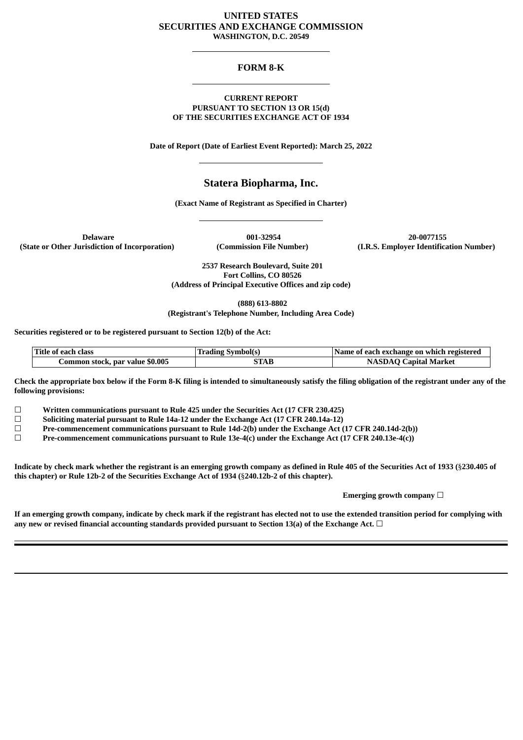# **UNITED STATES SECURITIES AND EXCHANGE COMMISSION WASHINGTON, D.C. 20549**

## **FORM 8-K**

#### **CURRENT REPORT PURSUANT TO SECTION 13 OR 15(d) OF THE SECURITIES EXCHANGE ACT OF 1934**

**Date of Report (Date of Earliest Event Reported): March 25, 2022**

# **Statera Biopharma, Inc.**

**(Exact Name of Registrant as Specified in Charter)**

**(State or Other Jurisdiction of Incorporation) (Commission File Number) (I.R.S. Employer Identification Number)**

**Delaware 001-32954 20-0077155**

**2537 Research Boulevard, Suite 201 Fort Collins, CO 80526 (Address of Principal Executive Offices and zip code)**

**(888) 613-8802**

**(Registrant's Telephone Number, Including Area Code)**

**Securities registered or to be registered pursuant to Section 12(b) of the Act:**

| Title of each class             | <b>Trading Symbol(s)</b> | Name of each exchange on which registered |
|---------------------------------|--------------------------|-------------------------------------------|
| Common stock, par value \$0.005 | STAB                     | <b>NASDAQ Capital Market</b>              |

Check the appropriate box below if the Form 8-K filing is intended to simultaneously satisfy the filing obligation of the registrant under any of the **following provisions:**

☐ **Written communications pursuant to Rule 425 under the Securities Act (17 CFR 230.425)**

☐ **Soliciting material pursuant to Rule 14a-12 under the Exchange Act (17 CFR 240.14a-12)**

☐ **Pre-commencement communications pursuant to Rule 14d-2(b) under the Exchange Act (17 CFR 240.14d-2(b))**

☐ **Pre-commencement communications pursuant to Rule 13e-4(c) under the Exchange Act (17 CFR 240.13e-4(c))**

Indicate by check mark whether the registrant is an emerging growth company as defined in Rule 405 of the Securities Act of 1933 (§230.405 of **this chapter) or Rule 12b-2 of the Securities Exchange Act of 1934 (**§**240.12b-2 of this chapter).**

**Emerging growth company** ☐

If an emerging growth company, indicate by check mark if the registrant has elected not to use the extended transition period for complying with **any new or revised financial accounting standards provided pursuant to Section 13(a) of the Exchange Act.** ☐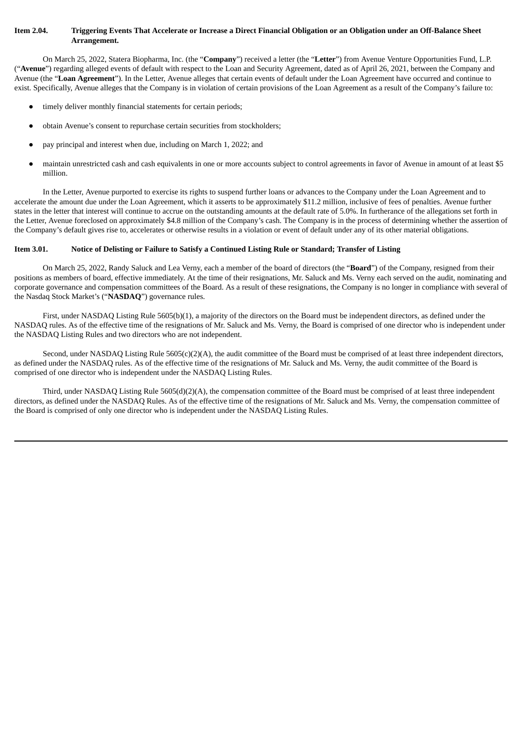#### Item 2.04. Triggering Events That Accelerate or Increase a Direct Financial Obligation or an Obligation under an Off-Balance Sheet **Arrangement.**

On March 25, 2022, Statera Biopharma, Inc. (the "**Company**") received a letter (the "**Letter**") from Avenue Venture Opportunities Fund, L.P. ("**Avenue**") regarding alleged events of default with respect to the Loan and Security Agreement, dated as of April 26, 2021, between the Company and Avenue (the "**Loan Agreement**"). In the Letter, Avenue alleges that certain events of default under the Loan Agreement have occurred and continue to exist. Specifically, Avenue alleges that the Company is in violation of certain provisions of the Loan Agreement as a result of the Company's failure to:

- timely deliver monthly financial statements for certain periods;
- obtain Avenue's consent to repurchase certain securities from stockholders;
- pay principal and interest when due, including on March 1, 2022; and
- maintain unrestricted cash and cash equivalents in one or more accounts subject to control agreements in favor of Avenue in amount of at least \$5 million.

In the Letter, Avenue purported to exercise its rights to suspend further loans or advances to the Company under the Loan Agreement and to accelerate the amount due under the Loan Agreement, which it asserts to be approximately \$11.2 million, inclusive of fees of penalties. Avenue further states in the letter that interest will continue to accrue on the outstanding amounts at the default rate of 5.0%. In furtherance of the allegations set forth in the Letter, Avenue foreclosed on approximately \$4.8 million of the Company's cash. The Company is in the process of determining whether the assertion of the Company's default gives rise to, accelerates or otherwise results in a violation or event of default under any of its other material obligations.

#### Item 3.01. Notice of Delisting or Failure to Satisfy a Continued Listing Rule or Standard; Transfer of Listing

On March 25, 2022, Randy Saluck and Lea Verny, each a member of the board of directors (the "**Board**") of the Company, resigned from their positions as members of board, effective immediately. At the time of their resignations, Mr. Saluck and Ms. Verny each served on the audit, nominating and corporate governance and compensation committees of the Board. As a result of these resignations, the Company is no longer in compliance with several of the Nasdaq Stock Market's ("**NASDAQ**") governance rules.

First, under NASDAQ Listing Rule 5605(b)(1), a majority of the directors on the Board must be independent directors, as defined under the NASDAQ rules. As of the effective time of the resignations of Mr. Saluck and Ms. Verny, the Board is comprised of one director who is independent under the NASDAQ Listing Rules and two directors who are not independent.

Second, under NASDAQ Listing Rule 5605(c)(2)(A), the audit committee of the Board must be comprised of at least three independent directors, as defined under the NASDAQ rules. As of the effective time of the resignations of Mr. Saluck and Ms. Verny, the audit committee of the Board is comprised of one director who is independent under the NASDAQ Listing Rules.

Third, under NASDAQ Listing Rule 5605(d)(2)(A), the compensation committee of the Board must be comprised of at least three independent directors, as defined under the NASDAQ Rules. As of the effective time of the resignations of Mr. Saluck and Ms. Verny, the compensation committee of the Board is comprised of only one director who is independent under the NASDAQ Listing Rules.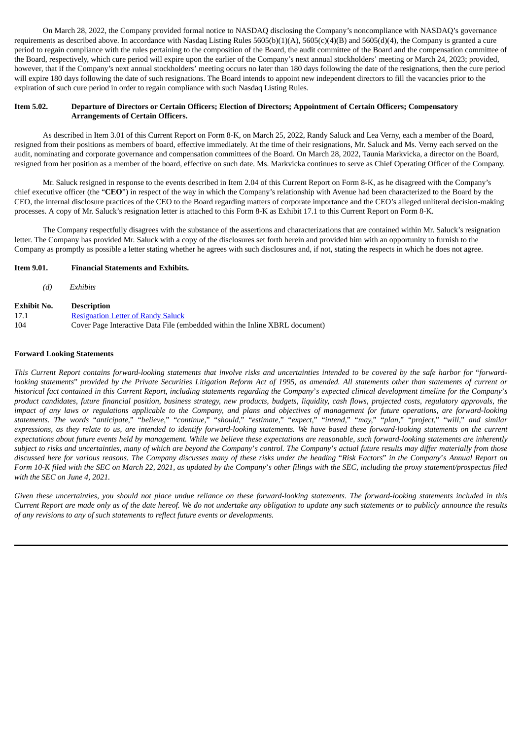On March 28, 2022, the Company provided formal notice to NASDAQ disclosing the Company's noncompliance with NASDAQ's governance requirements as described above. In accordance with Nasdaq Listing Rules 5605(b)(1)(A), 5605(c)(4)(B) and 5605(d)(4), the Company is granted a cure period to regain compliance with the rules pertaining to the composition of the Board, the audit committee of the Board and the compensation committee of the Board, respectively, which cure period will expire upon the earlier of the Company's next annual stockholders' meeting or March 24, 2023; provided, however, that if the Company's next annual stockholders' meeting occurs no later than 180 days following the date of the resignations, then the cure period will expire 180 days following the date of such resignations. The Board intends to appoint new independent directors to fill the vacancies prior to the expiration of such cure period in order to regain compliance with such Nasdaq Listing Rules.

#### Item 5.02. Departure of Directors or Certain Officers; Election of Directors; Appointment of Certain Officers; Compensatory **Arrangements of Certain Officers.**

As described in Item 3.01 of this Current Report on Form 8-K, on March 25, 2022, Randy Saluck and Lea Verny, each a member of the Board, resigned from their positions as members of board, effective immediately. At the time of their resignations, Mr. Saluck and Ms. Verny each served on the audit, nominating and corporate governance and compensation committees of the Board. On March 28, 2022, Taunia Markvicka, a director on the Board, resigned from her position as a member of the board, effective on such date. Ms. Markvicka continues to serve as Chief Operating Officer of the Company.

Mr. Saluck resigned in response to the events described in Item 2.04 of this Current Report on Form 8-K, as he disagreed with the Company's chief executive officer (the "**CEO**") in respect of the way in which the Company's relationship with Avenue had been characterized to the Board by the CEO, the internal disclosure practices of the CEO to the Board regarding matters of corporate importance and the CEO's alleged unliteral decision-making processes. A copy of Mr. Saluck's resignation letter is attached to this Form 8-K as Exhibit 17.1 to this Current Report on Form 8-K.

The Company respectfully disagrees with the substance of the assertions and characterizations that are contained within Mr. Saluck's resignation letter. The Company has provided Mr. Saluck with a copy of the disclosures set forth herein and provided him with an opportunity to furnish to the Company as promptly as possible a letter stating whether he agrees with such disclosures and, if not, stating the respects in which he does not agree.

#### **Item 9.01. Financial Statements and Exhibits.**

*(d) Exhibits*

| Exhibit No. | <b>Description</b>                                                          |
|-------------|-----------------------------------------------------------------------------|
| 17.1        | <b>Resignation Letter of Randy Saluck</b>                                   |
| 104         | Cover Page Interactive Data File (embedded within the Inline XBRL document) |

#### **Forward Looking Statements**

This Current Report contains forward-looking statements that involve risks and uncertainties intended to be covered by the safe harbor for "forwardlooking statements" provided by the Private Securities Litigation Reform Act of 1995, as amended. All statements other than statements of current or historical fact contained in this Current Report, including statements regarding the Company's expected clinical development timeline for the Company's product candidates, future financial position, business strategy, new products, budgets, liquidity, cash flows, projected costs, regulatory approvals, the impact of any laws or regulations applicable to the Company, and plans and objectives of management for future operations, are forward-looking statements. The words "anticipate," "believe," "continue," "should," "estimate," "expect," "intend," "may," "plan," "project," "will," and similar expressions, as they relate to us, are intended to identify forward-looking statements. We have based these forward-looking statements on the current expectations about future events held by management. While we believe these expectations are reasonable, such forward-looking statements are inherently subject to risks and uncertainties, many of which are beyond the Company's control. The Company's actual future results may differ materially from those discussed here for various reasons. The Company discusses many of these risks under the heading "Risk Factors" in the Company's Annual Report on Form 10-K filed with the SEC on March 22, 2021, as updated by the Company's other filings with the SEC, including the proxy statement/prospectus filed *with the SEC on June 4, 2021.*

Given these uncertainties, you should not place undue reliance on these forward-looking statements. The forward-looking statements included in this Current Report are made only as of the date hereof. We do not undertake any obligation to update any such statements or to publicly announce the results *of any revisions to any of such statements to reflect future events or developments.*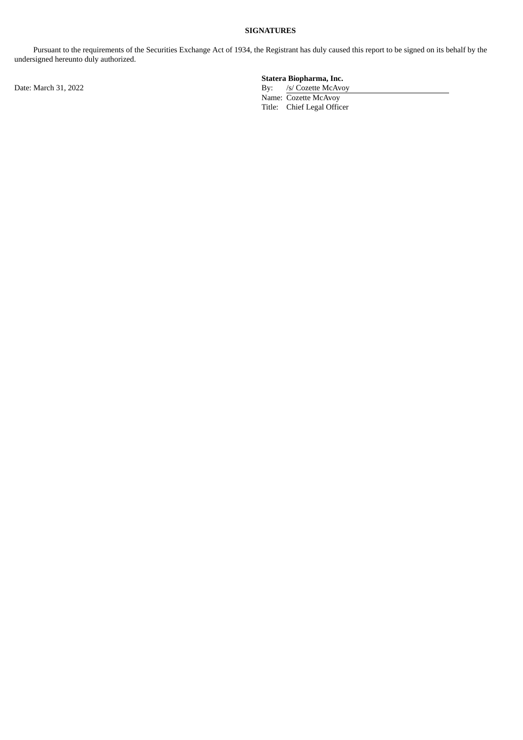## **SIGNATURES**

Pursuant to the requirements of the Securities Exchange Act of 1934, the Registrant has duly caused this report to be signed on its behalf by the undersigned hereunto duly authorized.

Date: March 31, 2022 By: /s/ Cozette McAvoy

# **Statera Biopharma, Inc.**

Name: Cozette McAvoy Title: Chief Legal Officer